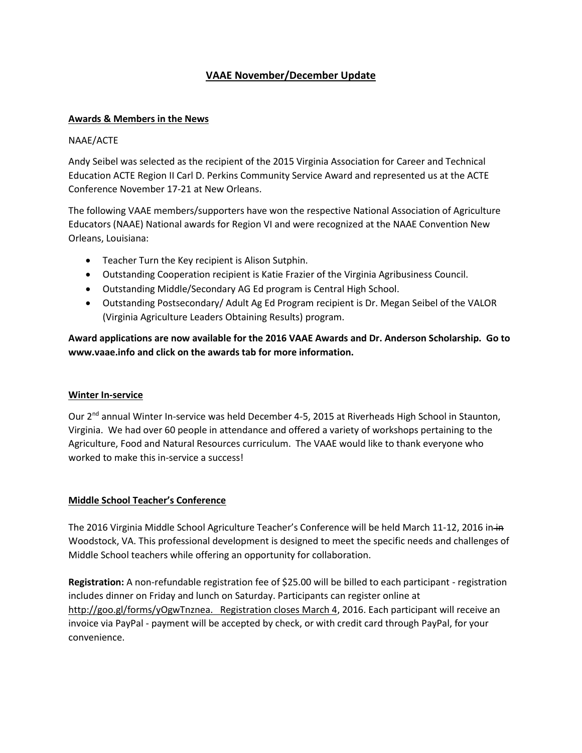# **VAAE November/December Update**

### **Awards & Members in the News**

### NAAE/ACTE

Andy Seibel was selected as the recipient of the 2015 Virginia Association for Career and Technical Education ACTE Region II Carl D. Perkins Community Service Award and represented us at the ACTE Conference November 17-21 at New Orleans.

The following VAAE members/supporters have won the respective National Association of Agriculture Educators (NAAE) National awards for Region VI and were recognized at the NAAE Convention New Orleans, Louisiana:

- Teacher Turn the Key recipient is Alison Sutphin.
- Outstanding Cooperation recipient is Katie Frazier of the Virginia Agribusiness Council.
- Outstanding Middle/Secondary AG Ed program is Central High School.
- Outstanding Postsecondary/ Adult Ag Ed Program recipient is Dr. Megan Seibel of the VALOR (Virginia Agriculture Leaders Obtaining Results) program.

**Award applications are now available for the 2016 VAAE Awards and Dr. Anderson Scholarship. Go to [www.vaae.info](http://www.vaae.info/) and click on the awards tab for more information.**

### **Winter In-service**

Our 2<sup>nd</sup> annual Winter In-service was held December 4-5, 2015 at Riverheads High School in Staunton, Virginia. We had over 60 people in attendance and offered a variety of workshops pertaining to the Agriculture, Food and Natural Resources curriculum. The VAAE would like to thank everyone who worked to make this in-service a success!

## **Middle School Teacher's Conference**

The 2016 Virginia Middle School Agriculture Teacher's Conference will be held March 11-12, 2016 in-in Woodstock, VA. This professional development is designed to meet the specific needs and challenges of Middle School teachers while offering an opportunity for collaboration.

**Registration:** A non-refundable registration fee of \$25.00 will be billed to each participant - registration includes dinner on Friday and lunch on Saturday. Participants can register online at [http://goo.gl/forms/yOgwTnznea. Registration closes March 4,](http://goo.gl/forms/yOgwTnznea.%20%20%20Registration%20closes%20March%204) 2016. Each participant will receive an invoice via PayPal - payment will be accepted by check, or with credit card through PayPal, for your convenience.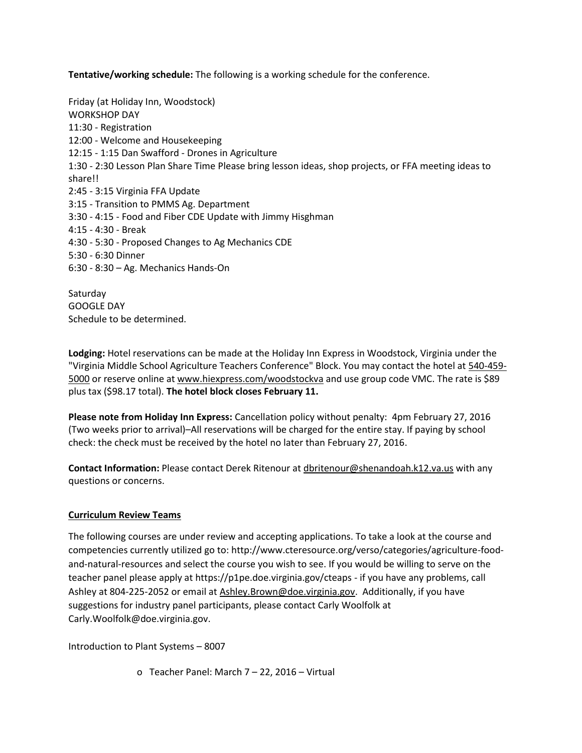**Tentative/working schedule:** The following is a working schedule for the conference.

Friday (at Holiday Inn, Woodstock) WORKSHOP DAY 11:30 - Registration 12:00 - Welcome and Housekeeping 12:15 - 1:15 Dan Swafford - Drones in Agriculture 1:30 - 2:30 Lesson Plan Share Time Please bring lesson ideas, shop projects, or FFA meeting ideas to share!! 2:45 - 3:15 Virginia FFA Update 3:15 - Transition to PMMS Ag. Department 3:30 - 4:15 - Food and Fiber CDE Update with Jimmy Hisghman 4:15 - 4:30 - Break 4:30 - 5:30 - Proposed Changes to Ag Mechanics CDE 5:30 - 6:30 Dinner 6:30 - 8:30 – Ag. Mechanics Hands-On

Saturday GOOGLE DAY Schedule to be determined.

**Lodging:** Hotel reservations can be made at the Holiday Inn Express in Woodstock, Virginia under the "Virginia Middle School Agriculture Teachers Conference" Block. You may contact the hotel at [540-459-](tel:540-459-5000) [5000](tel:540-459-5000) or reserve online a[t www.hiexpress.com/woodstockva](http://www.hiexpress.com/woodstockva) and use group code VMC. The rate is \$89 plus tax (\$98.17 total). **The hotel block closes February 11.** 

**Please note from Holiday Inn Express:** Cancellation policy without penalty: 4pm February 27, 2016 (Two weeks prior to arrival)–All reservations will be charged for the entire stay. If paying by school check: the check must be received by the hotel no later than February 27, 2016.

**Contact Information:** Please contact Derek Ritenour at [dbritenour@shenandoah.k12.va.us](mailto:dbritenour@shenandoah.k12.va.us) with any questions or concerns.

## **Curriculum Review Teams**

The following courses are under review and accepting applications. To take a look at the course and competencies currently utilized go to: http://www.cteresource.org/verso/categories/agriculture-foodand-natural-resources and select the course you wish to see. If you would be willing to serve on the teacher panel please apply at https://p1pe.doe.virginia.gov/cteaps - if you have any problems, call Ashley at 804-225-2052 or email at [Ashley.Brown@doe.virginia.gov.](mailto:Ashley.Brown@doe.virginia.gov) Additionally, if you have suggestions for industry panel participants, please contact Carly Woolfolk at Carly.Woolfolk@doe.virginia.gov.

Introduction to Plant Systems – 8007

o Teacher Panel: March 7 – 22, 2016 – Virtual